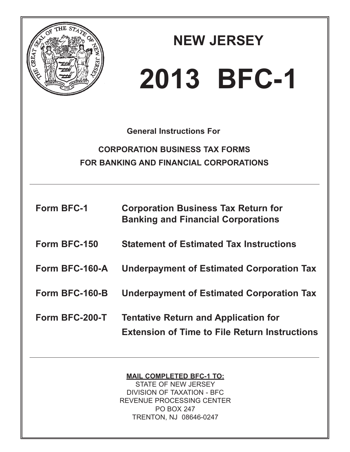

# **2013 BFC-1 NEW JERSEY**

# **General Instructions For**

# **CORPORATION BUSINESS TAX FORMS FOR BANKING AND FINANCIAL CORPORATIONS**

- **Form BFC-1 Corporation Business Tax Return for Banking and Financial Corporations**
- **Form BFC-150 Statement of Estimated Tax Instructions**
- **Form BFC-160-A Underpayment of Estimated Corporation Tax**
- **Form BFC-160-B Underpayment of Estimated Corporation Tax**
- **Form BFC-200-T Tentative Return and Application for Extension of Time to File Return Instructions**

## **MAIL COMPLETED BFC-1 TO:**

STATE OF NEW JERSEY DIVISION OF TAXATION - BFC REVENUE PROCESSING CENTER PO BOX 247 TRENTON, NJ 08646-0247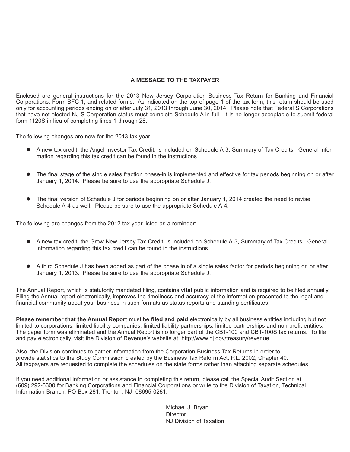#### **A MESSAGE TO THE TAXPAYER**

Enclosed are general instructions for the 2013 New Jersey Corporation Business Tax Return for Banking and Financial Corporations, Form BFC-1, and related forms. As indicated on the top of page 1 of the tax form, this return should be used only for accounting periods ending on or after July 31, 2013 through June 30, 2014. Please note that Federal S Corporations that have not elected NJ S Corporation status must complete Schedule A in full. It is no longer acceptable to submit federal form 1120S in lieu of completing lines 1 through 28.

The following changes are new for the 2013 tax year:

- A new tax credit, the Angel Investor Tax Credit, is included on Schedule A-3, Summary of Tax Credits. General information regarding this tax credit can be found in the instructions.
- The final stage of the single sales fraction phase-in is implemented and effective for tax periods beginning on or after January 1, 2014. Please be sure to use the appropriate Schedule J.
- $\bullet$  The final version of Schedule J for periods beginning on or after January 1, 2014 created the need to revise Schedule A-4 as well. Please be sure to use the appropriate Schedule A-4.

The following are changes from the 2012 tax year listed as a reminder:

- A new tax credit, the Grow New Jersey Tax Credit, is included on Schedule A-3, Summary of Tax Credits. General information regarding this tax credit can be found in the instructions.
- A third Schedule J has been added as part of the phase in of a single sales factor for periods beginning on or after January 1, 2013. Please be sure to use the appropriate Schedule J.

The Annual Report, which is statutorily mandated filing, contains **vital** public information and is required to be filed annually. Filing the Annual report electronically, improves the timeliness and accuracy of the information presented to the legal and financial community about your business in such formats as status reports and standing certificates.

**Please remember that the Annual Report** must be **filed and paid** electronically by all business entities including but not limited to corporations, limited liability companies, limited liability partnerships, limited partnerships and non-profit entities. The paper form was eliminated and the Annual Report is no longer part of the CBT-100 and CBT-100S tax returns. To file and pay electronically, visit the Division of Revenue's website at: http://www.nj.gov/treasury/revenue

Also, the Division continues to gather information from the Corporation Business Tax Returns in order to provide statistics to the Study Commission created by the Business Tax Reform Act, P.L. 2002, Chapter 40. All taxpayers are requested to complete the schedules on the state forms rather than attaching separate schedules.

If you need additional information or assistance in completing this return, please call the Special Audit Section at (609) 292-5300 for Banking Corporations and Financial Corporations or write to the Division of Taxation, Technical Information Branch, PO Box 281, Trenton, NJ 08695-0281.

> Michael J. Bryan **Director** NJ Division of Taxation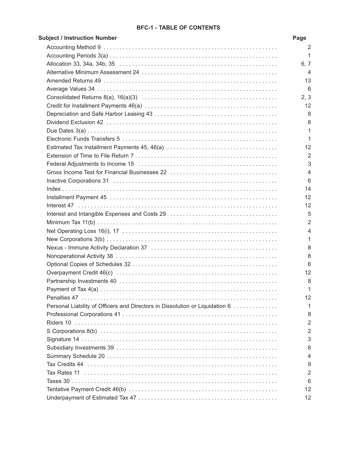#### **BFC-1 - TABLE OF CONTENTS**

| <b>Subject / Instruction Number</b>                                          | Page           |
|------------------------------------------------------------------------------|----------------|
|                                                                              | $\overline{2}$ |
|                                                                              | $\mathbf{1}$   |
|                                                                              | 6, 7           |
|                                                                              | 4              |
|                                                                              | 13             |
|                                                                              | 6              |
|                                                                              | 2, 3           |
|                                                                              | 12             |
|                                                                              | 8              |
|                                                                              | 8              |
|                                                                              | 1              |
|                                                                              | 1              |
| Estimated Tax Installment Payments 45, 46(a)                                 | 12             |
|                                                                              | 2              |
|                                                                              | 3              |
|                                                                              | $\overline{4}$ |
|                                                                              | 6              |
|                                                                              | 14             |
|                                                                              | 12             |
|                                                                              | 12             |
|                                                                              | 5              |
|                                                                              | $\overline{2}$ |
|                                                                              | 4              |
|                                                                              | 1              |
|                                                                              | 8              |
|                                                                              | 8              |
|                                                                              | 6              |
|                                                                              | 12             |
|                                                                              | 8              |
|                                                                              | 1              |
|                                                                              | 12             |
| Personal Liability of Officers and Directors in Dissolution or Liquidation 6 | 1              |
|                                                                              | 8              |
|                                                                              | $\overline{2}$ |
|                                                                              | 2              |
|                                                                              | 3              |
|                                                                              | 8              |
|                                                                              | 4              |
|                                                                              | 9              |
|                                                                              | 2              |
|                                                                              | 6              |
|                                                                              | 12             |
|                                                                              | 12             |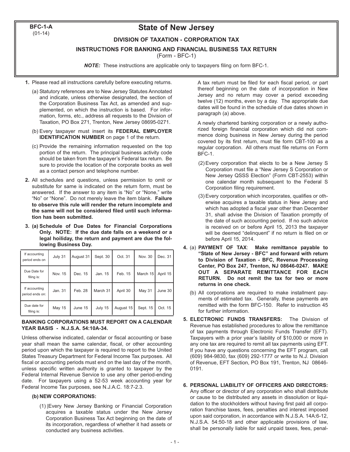**BFC-1-A** (01-14)

### **State of New Jersey**

#### **DIVISION OF TAXATION - CORPORATION TAX**

**INSTRUCTIONS FOR BANKING AND FINANCIAL BUSINESS TAX RETURN**

(Form - BFC-1)

*NOTE:* These instructions are applicable only to taxpayers filing on form BFC-1.

- **1.** Please read all instructions carefully before executing returns.
	- (a) Statutory references are to New Jersey Statutes Annotated and indicate, unless otherwise designated, the section of the Corporation Business Tax Act, as amended and supplemented, on which the instruction is based. For information, forms, etc., address all requests to the Division of Taxation, PO Box 271, Trenton, New Jersey 08695-0271.
	- (b) Every taxpayer must insert its **FEDERAL EMPLOYER IDENTIFICATION NUMBER** on page 1 of the return.
	- (c) Provide the remaining information requested on the top portion of the return. The principal business activity code should be taken from the taxpayer's Federal tax return. Be sure to provide the location of the corporate books as well as a contact person and telephone number.
- **2.** All schedules and questions, unless permission to omit or substitute for same is indicated on the return form, must be answered. If the answer to any item is "No" or "None," write "No" or "None". Do not merely leave the item blank. **Failure to observe this rule will render the return incomplete and the same will not be considered filed until such information has been submitted.**
- **3. (a) Schedule of Due Dates for Financial Corporations Only. NOTE: If the due date falls on a weekend or a legal hoiliday, the return and payment are due the following Business Day.**

| If accounting<br>period ends on  | July 31 | August 31 | Sept. 30 | Oct. 31   | Nov. 30  | Dec. 31  |
|----------------------------------|---------|-----------|----------|-----------|----------|----------|
| Due Date for<br>filing is:       | Nov. 15 | Dec. 15   | Jan. 15  | Feb. 15   | March 15 | April 15 |
| If accounting<br>period ends on: | Jan. 31 | Feb. 28   | March 31 | April 30  | May 31   | June 30  |
| Due date for<br>filing is:       | May 15  | June 15   | July 15  | August 15 | Sept. 15 | Oct. 15  |

#### **BANKING CORPORATIONS MUST REPORT ON A CALENDAR YEAR BASIS - N.J.S.A. 54:10A-34.**

Unless otherwise indicated, calendar or fiscal accounting or base year shall mean the same calendar, fiscal, or other accounting period upon which the taxpayer is required to report to the United States Treasury Department for Federal Income Tax purposes. All fiscal or accounting periods must end on the last day of the month, unless specific written authority is granted to taxpayer by the Federal Internal Revenue Service to use any other period-ending date. For taxpayers using a 52-53 week accounting year for Federal Income Tax purposes, see N.J.A.C. 18:7-2.3.

#### **(b) NEW CORPORATIONS:**

(1) |Every New Jersey Banking or Financial Corporation acquires a taxable status under the New Jersey Corporation Business Tax Act beginning on the date of its incorporation, regardless of whether it had assets or conducted any business activities.

A tax return must be filed for each fiscal period, or part thereof beginning on the date of incorporation in New Jersey and no return may cover a period exceeding twelve (12) months, even by a day. The appropriate due dates will be found in the schedule of due dates shown in paragraph (a) above.

A newly chartered banking corporation or a newly authorized foreign financial corporation which did not commence doing business in New Jersey during the period covered by its first return, must file form CBT-100 as a regular corporation. All others must file returns on Form BFC-1.

- (2) Every corporation that elects to be a New Jersey S Corporation must file a "New Jersey S Corporation or New Jersey QSSS Election" (Form CBT-2553) within one calendar month subsequent to the Federal S Corporation filing requirement.
- (3) Every corporation which incorporates, qualifies or otherwise acquires a taxable status in New Jersey and which has adopted a fiscal year other than December 31, shall advise the Division of Taxation promptly of the date of such accounting period. If no such advice is received on or before April 15, 2013 the taxpayer will be deemed "delinquent" if no return is filed on or before April 15, 2014.
- **4.** (a) **PAYMENT OF TAX**: **Make remittance payable to "State of New Jersey - BFC" and forward with return to Division of Taxation - BFC, Revenue Processing Center, PO Box 247, Trenton, NJ 08646-0247. MAKE OUT A SEPARATE REMITTANCE FOR EACH RETURN. Do not remit the tax for two or more returns in one check.**
	- (b) All corporations are required to make installment payments of estimated tax. Generally, these payments are remitted with the form BFC-150. Refer to instruction 45 for further information.
- **5. ELECTRONIC FUNDS TRANSFERS:** The Division of Revenue has established procedures to allow the remittance of tax payments through Electronic Funds Transfer (EFT). Taxpayers with a prior year's liability of \$10,000 or more in any one tax are required to remit all tax payments using EFT. If you have any questions concerning the EFT program, call (609) 984-9830, fax (609) 292-1777 or write to N.J. Division of Revenue, EFT Section, PO Box 191, Trenton, NJ 08646- 0191.
- **6. PERSONAL LIABILITY OF OFFICERS AND DIRECTORS:** Any officer or director of any corporation who shall distribute or cause to be distributed any assets in dissolution or liquidation to the stockholders without having first paid all corporation franchise taxes, fees, penalties and interest imposed upon said corporation, in accordance with N.J.S.A. 14A:6-12, N.J.S.A. 54:50-18 and other applicable provisions of law, shall be personally liable for said unpaid taxes, fees, penal-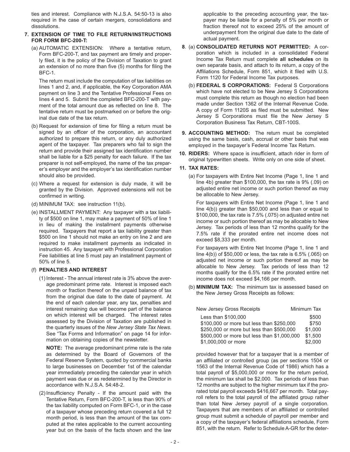ties and interest. Compliance with N.J.S.A. 54:50-13 is also required in the case of certain mergers, consolidations and dissolutions.

#### **7. EXTENSION OF TIME TO FILE RETURN/INSTRUCTIONS FOR FORM BFC-200-T:**

(a) AUTOMATIC EXTENSION: Where a tentative return, Form BFC-200-T, and tax payment are timely and properly filed, it is the policy of the Division of Taxation to grant an extension of no more than five (5) months for filing the BFC-1.

The return must include the computation of tax liabilities on lines 1 and 2, and, if applicable, the Key Corporation AMA payment on line 3 and the Tentative Professional Fees on lines 4 and 5. Submit the completed BFC-200-T with payment of the total amount due as reflected on line 8. The tentative return must be postmarked on or before the original due date of the tax return.

- (b) Request for extension of time for filing a return must be signed by an officer of the corporation, an accountant authorized to prepare this return, or any duly authorized agent of the taxpayer. Tax preparers who fail to sign the return and provide their assigned tax identification number shall be liable for a \$25 penalty for each failure. If the tax preparer is not self-employed, the name of the tax preparer's employer and the employer's tax identification number should also be provided.
- (c) Where a request for extension is duly made, it will be granted by the Division. Approved extensions will not be confirmed in writing.
- (d) MINIMUM TAX: see instruction 11(b).
- (e) INSTALLMENT PAYMENT: Any taxpayer with a tax liability of \$500 on line 1, may make a payment of 50% of line 1 in lieu of making the installment payments otherwise required. Taxpayers that report a tax liability greater than \$500 on line 1 should not make an entry on line 2 and are required to make installment payments as indicated in instruction 45. Any taxpayer with Professional Corporation Fee liabilities at line 5 must pay an installment payment of 50% of line 5.

#### (f) **PENALTIES AND INTEREST**

(1) Interest - The annual interest rate is 3% above the average predominant prime rate. Interest is imposed each month or fraction thereof on the unpaid balance of tax from the original due date to the date of payment. At the end of each calendar year, any tax, penalties and interest remaining due will become part of the balance on which interest will be charged. The interest rates assessed by the Division of Taxation are published in the quarterly issues of the *New Jersey State Tax News*. See "Tax Forms and Information" on page 14 for information on obtaining copies of the newsletter.

**NOTE:** The average predominant prime rate is the rate as determined by the Board of Governors of the Federal Reserve System, quoted by commercial banks to large businesses on December 1st of the calendar year immediately preceding the calendar year in which payment was due or as redetermined by the Director in accordance with N.J.S.A. 54:48-2.

(2) Insufficiency Penalty - If the amount paid with the Tentative Return, Form BFC-200-T, is less than 90% of the tax liability computed on Form BFC-1, or in the case of a taxpayer whose preceding return covered a full 12 month period, is less than the amount of the tax computed at the rates applicable to the current accounting year but on the basis of the facts shown and the law

applicable to the preceding accounting year, the taxpayer may be liable for a penalty of 5% per month or fraction thereof not to exceed 25% of the amount of underpayment from the original due date to the date of actual payment.

- **8**. (a) **CONSOLIDATED RETURNS NOT PERMITTED:** A corporation which is included in a consolidated Federal Income Tax Return must complete **all schedules** on its own separate basis, and attach to its return, a copy of the Affiliations Schedule, Form 851, which it filed with U.S. Form 1120 for Federal Income Tax purposes.
	- (b) **FEDERAL S CORPORATIONS:** Federal S Corporations which have not elected to be New Jersey S Corporations must complete this return as though no election had been made under Section 1362 of the Internal Revenue Code. A copy of Form 1120S as filed must be submitted. New Jersey S Corporations must file the New Jersey S Corporation Business Tax Return, CBT-100S.
- **9. ACCOUNTING METHOD:** The return must be completed using the same basis, cash, accrual or other basis that was employed in the taxpayer's Federal Income Tax Return.
- **10. RIDERS:** Where space is insufficient, attach rider in form of original typewritten sheets. Write only on one side of sheet.

#### **11. TAX RATES:**

(a) For taxpayers with Entire Net Income (Page 1, line 1 and line 4b) greater than \$100,000, the tax rate is 9% (.09) on adjusted entire net income or such portion thereof as may be allocable to New Jersey.

For taxpayers with Entire Net Income (Page 1, line 1 and line 4(b)) greater than \$50,000 and less than or equal to \$100,000, the tax rate is 7.5% (.075) on adjusted entire net income or such portion thereof as may be allocable to New Jersey. Tax periods of less than 12 months qualify for the 7.5% rate if the prorated entire net income does not exceed \$8,333 per month.

For taxpayers with Entire Net Income (Page 1, line 1 and line 4(b)) of \$50,000 or less, the tax rate is 6.5% (.065) on adjusted net income or such portion thereof as may be allocable to New Jersey. Tax periods of less than 12 months qualify for the 6.5% rate if the prorated entire net income does not exceed \$4,166 per month.

(b) **MINIMUM TAX:** The minimum tax is assessed based on the New Jersey Gross Receipts as follows:

| New Jersey Gross Receipts                   | Minimum Tax |  |  |
|---------------------------------------------|-------------|--|--|
| Less than \$100,000                         | \$500       |  |  |
| \$100,000 or more but less than \$250,000   | \$750       |  |  |
| \$250,000 or more but less than \$500,000   | \$1,000     |  |  |
| \$500,000 or more but less than \$1,000,000 | \$1,500     |  |  |
| \$1,000,000 or more                         | \$2,000     |  |  |

provided however that for a taxpayer that is a member of an affiliated or controlled group (as per sections 1504 or 1563 of the Internal Revenue Code of 1986) which has a total payroll of \$5,000,000 or more for the return period, the minimum tax shall be \$2,000. Tax periods of less than 12 months are subject to the higher minimum tax if the prorated total payroll exceeds \$416,667 per month. Total payroll refers to the total payroll of the affiliated group rather than total New Jersey payroll of a single corporation. Taxpayers that are members of an affiliated or controlled group must submit a schedule of payroll per member and a copy of the taxpayer's federal affiliations schedule, Form 851, with the return. Refer to Schedule A-GR for the deter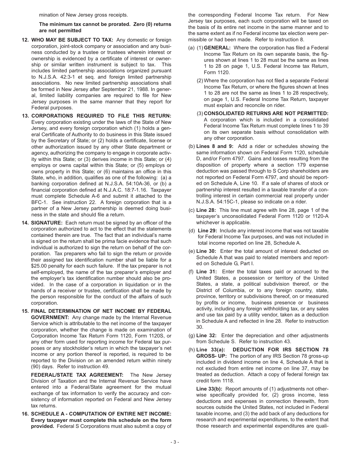mination of New Jersey gross receipts.

#### **The minimum tax cannot be prorated. Zero (0) returns are not permitted**

- **12. WHO MAY BE SUBJECT TO TAX:** Any domestic or foreign corporation, joint-stock company or association and any business conducted by a trustee or trustees wherein interest or ownership is evidenced by a certificate of interest or ownership or similar written instrument is subject to tax. This includes limited partnership associations organized pursuant to N.J.S.A. 42:3-1 et seq. and foreign limited partnership associations. No new limited partnership associations shall be formed in New Jersey after September 21, 1988. In general, limited liability companies are required to file for New Jersey purposes in the same manner that they report for Federal purposes.
- **13. CORPORATIONS REQUIRED TO FILE THIS RETURN:** Every corporation existing under the laws of the State of New Jersey, and every foreign corporation which (1) holds a general Certificate of Authority to do business in this State issued by the Secretary of State; or (2) holds a certificate, license or other authorization issued by any other State department or agency, authorizing the company to engage in corporate activity within this State; or (3) derives income in this State; or (4) employs or owns capital within this State; or (5) employs or owns property in this State; or (6) maintains an office in this State, who, in addition, qualifies as one of the following: (a) a banking corporation defined at N.J.S.A. 54:10A-36, or (b) a financial corporation defined at N.J.A.C. 18:7-1.16. Taxpayer must complete Schedule A-6 and submit it attached to the BFC-1. See instruction 22. A foreign corporation that is a partner of a New Jersey partnership is deemed doing business in the state and should file a return.
- **14. SIGNATURE:** Each return must be signed by an officer of the corporation authorized to act to the effect that the statements contained therein are true. The fact that an individual's name is signed on the return shall be prima facie evidence that such individual is authorized to sign the return on behalf of the corporation. Tax preparers who fail to sign the return or provide their assigned tax identification number shall be liable for a \$25.00 penalty for each such failure. If the tax preparer is not self-employed, the name of the tax preparer's employer and the employer's tax identification number should also be provided. In the case of a corporation in liquidation or in the hands of a receiver or trustee, certification shall be made by the person responsible for the conduct of the affairs of such corporation.
- **15. FINAL DETERMINATION OF NET INCOME BY FEDERAL GOVERNMENT:** Any change made by the Internal Revenue Service which is attributable to the net income of the taxpayer corporation, whether the change is made on examination of Corporation Income Tax Return Form 1120, Form 1120S, or any other form used for reporting income for Federal tax purposes or any stockholder's return in which the taxpayer's net income or any portion thereof is reported, is required to be reported to the Division on an amended return within ninety (90) days. Refer to instruction 49.

**FEDERAL/STATE TAX AGREEMENT:** The New Jersey Division of Taxation and the Internal Revenue Service have entered into a Federal/State agreement for the mutual exchange of tax information to verify the accuracy and consistency of information reported on Federal and New Jersey tax returns.

**16. SCHEDULE A - COMPUTATION OF ENTIRE NET INCOME: Every taxpayer must complete this schedule on the form provided.** Federal S Corporations must also submit a copy of the corresponding Federal Income Tax return. For New Jersey tax purposes, each such corporation will be taxed on the basis of its entire net income in the same manner and to the same extent as if no Federal income tax election were permissible or had been made. Refer to instruction 8.

- (a) (1) **GENERAL:** Where the corporation has filed a Federal Income Tax Return on its own separate basis, the figures shown at lines 1 to 28 must be the same as lines 1 to 28 on page 1, U.S. Federal Income tax Return, Form 1120.
	- (2) Where the corporation has not filed a separate Federal Income Tax Return, or where the figures shown at lines 1 to 28 are not the same as lines 1 to 28 respectively, on page 1, U.S. Federal Income Tax Return, taxpayer must explain and reconcile on rider.
	- (3) **CONSOLIDATED RETURNS ARE NOT PERMITTED:** A corporation which is included in a consolidated Federal Income Tax Return must complete lines 1 to 39 on its own separate basis without consolidation with any other corporation.
- (b) **Lines 8 and 9:** Add a rider or schedules showing the same information shown on Federal Form 1120, schedule D, and/or Form 4797. Gains and losses resulting from the disposition of property where a section 179 expense deduction was passed through to S Corp shareholders are not reported on Federal Form 4797, and should be reported on Schedule A, Line 10. If a sale of shares of stock or partnership interest resulted in a taxable transfer of a controlling interest in certain commercial real property under N.J.S.A. 54:15C-1, please so indicate on a rider.
- (c) **Line 28:** This line must agree with line 28, page 1 of the taxpayer's unconsolidated Federal Form 1120 or 1120-A whichever is applicable.
- (d) **Line 29:** Include any interest income that was not taxable for Federal Income Tax purposes, and was not included in total income reported on line 28, Schedule A.
- (e) **Line 30:** Enter the total amount of interest deducted on Schedule A that was paid to related members and reported on Schedule G, Part I.
- (f) **Line 31:** Enter the total taxes paid or accrued to the United States, a possession or territory of the United States, a state, a political subdivision thereof, or the District of Columbia, or to any foreign country, state, province, territory or subdivisions thereof, on or measured by profits or income, business presence or business activity, including any foreign withholding tax, or any sales and use tax paid by a utility vendor, taken as a deduction in Schedule A and reflected in line 28. Refer to instruction 30.
- (g) **Line 32:** Enter the depreciation and other adjustments from Schedule S. Refer to instruction 43.
- (h) **Line 33(a): DEDUCTION FOR IRS SECTION 78 GROSS- UP:** The portion of any IRS Section 78 gross-up included in dividend income on line 4, Schedule A that is not excluded from entire net income on line 37, may be treated as deduction. Attach a copy of federal foreign tax credit form 1118.

**Line 33(b):** Report amounts of (1) adjustments not otherwise specifically provided for, (2) gross income, less deductions and expenses in connection therewith, from sources outside the United States, not included in Federal taxable income, and (3) the add back of any deductions for research and experimental expenditures, to the extent that those research and experimental expenditures are quali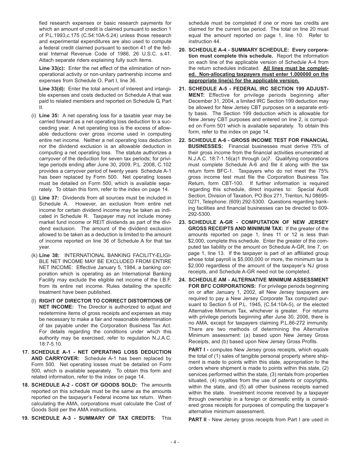fied research expenses or basic research payments for which an amount of credit is claimed pursuant to section 1 of P.L.1993,c.175 (C.54:10A-5.24) unless those research and experimental expenditures are also used to compute a federal credit claimed pursuant to section 41 of the federal Internal Revenue Code of 1986, 26 U.S.C. s.41. Attach separate riders explaining fully such items.

**Line 33(c):** Enter the net effect of the elimination of nonoperational activity or non-unitary partnership income and expenses from Schedule O, Part I, line 36.

**Line 33(d):** Enter the total amount of interest and intangible expenses and costs deducted on Schedule A that was paid to related members and reported on Schedule G, Part II.

- (i) **Line 35:** A net operating loss for a taxable year may be carried forward as a net operating loss deduction to a succeeding year. A net operating loss is the excess of allowable deductions over gross income used in computing entire net income. Neither a net operating loss deduction nor the dividend exclusion is an allowable deduction in computing a net operating loss. The statute authorizes a carryover of the deduction for seven tax periods; for privilege periods ending after June 30, 2009, P.L. 2008, C.102 provides a carryover period of twenty years Schedule A-1 has been replaced by Form 500. Net operating losses must be detailed on Form 500, which is available separately. To obtain this form, refer to the index on page 14.
- (j) **Line 37:** Dividends from all sources must be included in Schedule A. However, an exclusion from entire net income for certain dividend income may be taken as indicated in Schedule R. Taxpayer may not include money market fund income or REIT dividends as part of the dividend exclusion. The amount of the dividend exclusion allowed to be taken as a deduction is limited to the amount of income reported on line 36 of Schedule A for that tax year.
- (k) **Line 38:** INTERNATIONAL BANKING FACILITY-ELIGI-BLE NET INCOME MAY BE EXCLUDED FROM ENTIRE NET INCOME: Effective January 5, 1984, a banking corporation which is operating as an International Banking Facility may exclude the eligible net income of the I.B.F. from its entire net income. Rules detailing the specific treatment have been published.
- (l) **RIGHT OF DIRECTOR TO CORRECT DISTORTIONS OF NET INCOME:** The Director is authorized to adjust and redetermine items of gross receipts and expenses as may be necessary to make a fair and reasonable determination of tax payable under the Corporation Business Tax Act. For details regarding the conditions under which this authority may be exercised, refer to regulation N.J.A.C. 18:7-5.10.
- **17. SCHEDULE A-1 NET OPERATING LOSS DEDUCTION AND CARRYOVER:** Schedule A-1 has been replaced by Form 500. Net operating losses must be detailed on Form 500, which is available separately. To obtain this form and related information, refer to the index on page 14.
- **18. SCHEDULE A-2 COST OF GOODS SOLD:** The amounts reported on this schedule must be the same as the amounts reported on the taxpayer's Federal income tax return. When calculating the AMA, corporations must calculate the Cost of Goods Sold per the AMA instructions.
- **19. SCHEDULE A-3 SUMMARY OF TAX CREDITS:** This

schedule must be completed if one or more tax credits are claimed for the current tax period. The total on line 20 must equal the amount reported on page 1, line 10. Refer to instruction 44.

- **20. SCHEDULE A-4 SUMMARY SCHEDULE: Every corporation must complete this schedule.** Report the information on each line of the applicable version of Schedule A-4 from the return schedules indicated. **All lines must be completed. Non-allocating taxpayers must enter 1.000000 on the appropriate line(s) for the applicable version.**
- **21. SCHEDULE A-5 FEDERAL IRC SECTION 199 ADJUST-MENT:** Effective for privilege periods beginning after December 31, 2004, a limited IRC Section 199 deduction may be allowed for New Jersey CBT purposes on a separate entity basis. The Section 199 deduction which is allowable for New Jersey CBT purposes and entered on line 2, is computed on Form 501 which is available separately. To obtain this form, refer to the index on page 14.
- **22. SCHEDULE A-6 GROSS INCOME TEST FOR FINANCIAL BUSINESSES:** Financial businesses must derive 75% of their gross income from the financial activities enumerated at N.J.A.C. 18:7-1.16(a)1 through (a)7. Qualifying corporations must complete Schedule A-6 and file it along with the tax return form BFC-1. Taxpayers who do not meet the 75% gross income test must file the Corporation Business Tax Return, form CBT-100. If further information is required regarding this schedule, direct inquiries to: Special Audit Section, Division of Taxation, PO Box 271, Trenton, NJ 08695- 0271, Telephone: (609) 292-5300. Questions regarding banking facilities and financial businesses can be directed to 609- 292-5300.
- **23. SCHEDULE A-GR COMPUTATION OF NEW JERSEY GROSS RECEIPTS AND MINIMUM TAX:** If the greater of the amounts reported on page 1, lines 11 or 12 is less than \$2,000, complete this schedule. Enter the greater of the computed tax liability or the amount on Schedule A-GR, line 7, on page 1, line 13. If the taxpayer is part of an affiliated group whose total payroll is \$5,000,000 or more, the minimum tax is \$2,000 regardless of the amount of the taxpayer's NJ gross receipts, and Schedule A-GR need not be completed.
- **24. SCHEDULE AM ALTERNATIVE MINIMUM ASSESSMENT FOR BFC CORPORATIONS:** For privilege periods beginning on or after January 1, 2002, all New Jersey taxpayers are required to pay a New Jersey Corporate Tax computed pursuant to Section 5 of P.L. 1945, (C.54:10A-5), or the elected Alternative Minimum Tax, whichever is greater. For returns with privilege periods beginning after June 30, 2006, there is no AMA, except for taxpayers claiming P.L.86-272 immunity. There are two methods of determining the Alternative Minimum assessment: (a) based upon New Jersey Gross Receipts, and (b) based upon New Jersey Gross Profits.

**PART I -** computes New Jersey gross receipts, which equals the total of (1) sales of tangible personal property where shipment is made to points within this state, appropriation to the orders where shipment is made to points within this state, (2) services performed within the state, (3) rentals from properties situated, (4) royalties from the use of patents or copyrights, within the state, and (5) all other business receipts earned within the state. Investment income received by a taxpayer through ownership in a foreign or domestic entity is considered gross receipts for purposes of computing the taxpayer's alternative minimum assessment.

**PART II** - New Jersey gross receipts from Part I are used in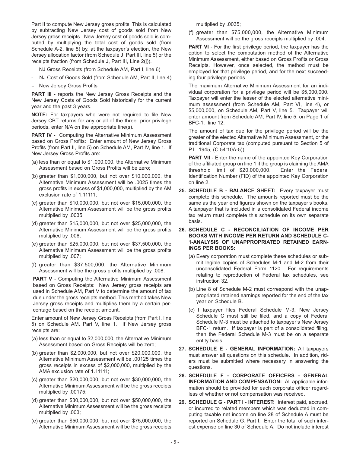Part II to compute New Jersey gross profits. This is calculated by subtracting New Jersey cost of goods sold from New Jersey gross receipts. New Jersey cost of goods sold is computed by multiplying the total cost of goods sold (from Schedule A-2, line 8) by, at the taxpayer's election, the New Jersey allocation factor (from Schedule J, Part III, line 5) or the receipts fraction (from Schedule J, Part III, Line 2(j)).

NJ Gross Receipts (from Schedule AM, Part I, line 6)

- NJ Cost of Goods Sold (from Schedule AM, Part II, line 4)

= New Jersey Gross Profits

**PART III -** reports the New Jersey Gross Receipts and the New Jersey Costs of Goods Sold historically for the current year and the past 3 years.

**NOTE:** For taxpayers who were not required to file New Jersey CBT returns for any or all of the three prior privilege periods, enter N/A on the appropriate line(s).

**PART IV -** Computing the Alternative Minimum Assessment based on Gross Profits: Enter amount of New Jersey Gross Profits (from Part II, line 5) on Schedule AM, Part IV, line 1. If New Jersey Gross Profits are:

- (a) less than or equal to \$1,000,000, the Alternative Minimum Assessment based on Gross Profits will be zero;
- (b) greater than \$1,000,000, but not over \$10,000,000, the Alternative Minimum Assessment will be .0025 times the gross profits in excess of \$1,000,000, multiplied by the AM exclusion rate of 1.11111;
- (c) greater than \$10,000,000, but not over \$15,000,000, the Alternative Minimum Assessment will be the gross profits multiplied by .0035;
- (d) greater than \$15,000,000, but not over \$25,000,000, the Alternative Minimum Assessment will be the gross profits multiplied by .006;
- (e) greater than \$25,000,000, but not over \$37,500,000, the Alternative Minimum Assessment will be the gross profits multiplied by .007;
- (f) greater than \$37,500,000, the Alternative Minimum Assessment will be the gross profits multiplied by .008.

**PART V** - Computing the Alternative Minimum Assessment based on Gross Receipts: New Jersey gross receipts are used in Schedule AM, Part V to determine the amount of tax due under the gross receipts method. This method takes New Jersey gross receipts and multiplies them by a certain percentage based on the receipt amount.

Enter amount of New Jersey Gross Receipts (from Part I, line 5) on Schedule AM, Part V, line 1. If New Jersey gross receipts are:

- (a) less than or equal to \$2,000,000, the Alternative Minimum Assessment based on Gross Receipts will be zero;
- (b) greater than \$2,000,000, but not over \$20,000,000, the Alternative Minimum Assessment will be .00125 times the gross receipts in excess of \$2,000,000, multiplied by the AMA exclusion rate of 1.11111;
- (c) greater than \$20,000,000, but not over \$30,000,000, the Alternative Minimum Assessment will be the gross receipts multiplied by .00175;
- (d) greater than \$30,000,000, but not over \$50,000,000, the Alternative Minimum Assessment will be the gross receipts multiplied by .003;
- (e) greater than \$50,000,000, but not over \$75,000,000, the Alternative Minimum Assessment will be the gross receipts

multiplied by .0035;

(f) greater than \$75,000,000, the Alternative Minimum Assessment will be the gross receipts multiplied by .004.

**PART VI** - For the first privilege period, the taxpayer has the option to select the computation method of the Alternative Minimum Assessment, either based on Gross Profits or Gross Receipts. However, once selected, the method must be employed for that privilege period, and for the next succeeding four privilege periods.

The maximum Alternative Minimum Assessment for an individual corporation for a privilege period will be \$5,000,000. Taxpayer will enter the lesser of the elected alternative minimum assessment (from Schedule AM, Part VI, line 4), or \$5,000,000, on Schedule AM, Part V, line 5. Taxpayer will enter amount from Schedule AM, Part IV, line 5, on Page 1 of BFC-1, line 12.

The amount of tax due for the privilege period will be the greater of the elected Alternative Minimum Assessment, or the traditional Corporate tax (computed pursuant to Section 5 of P.L. 1945, (C.54:10A-5)).

**PART VII** - Enter the name of the appointed Key Corporation of the affiliated group on line 1 if the group is claiming the AMA threshold limit of \$20,000,000. Enter the Federal Identification Number (FID) of the appointed Key Corporation on line 2.

- **25. SCHEDULE B BALANCE SHEET:** Every taxpayer must complete this schedule. The amounts reported must be the same as the year end figures shown on the taxpayer's books. A taxpayer that is included in a consolidated Federal income tax return must complete this schedule on its own separate basis.
- **26. SCHEDULE C RECONCILIATION OF INCOME PER BOOKS WITH INCOME PER RETURN AND SCHEDULE C-1-ANALYSIS OF UNAPPROPRIATED RETAINED EARN-INGS PER BOOKS:**
	- (a) Every corporation must complete these schedules or submit legible copies of Schedules M-1 and M-2 from their unconsolidated Federal Form 1120. For requirements relating to reproduction of Federal tax schedules, see instruction 32.
	- (b) Line 8 of Schedule M-2 must correspond with the unappropriated retained earnings reported for the end of the tax year on Schedule B.
	- (c) If taxpayer files Federal Schedule M-3, New Jersey Schedule C must still be filed, and a copy of Federal Schedule M-3 must be attached to taxpayer's New Jersey BFC-1 return. If taxpayer is part of a consolidated filing, then the Federal Schedule M-3 must be on a separate entity basis.
- **27. SCHEDULE E GENERAL INFORMATION:** All taxpayers must answer all questions on this schedule. In addition, riders must be submitted where necessary in answering the questions.
- **28. SCHEDULE F CORPORATE OFFICERS GENERAL INFORMATION AND COMPENSATION:** All applicable information should be provided for each corporate officer regardless of whether or not compensation was received.
- **29. SCHEDULE G PART I INTEREST:** Interest paid, accrued, or incurred to related members which was deducted in computing taxable net income on line 28 of Schedule A must be reported on Schedule G, Part I. Enter the total of such interest expense on line 30 of Schedule A. Do not include interest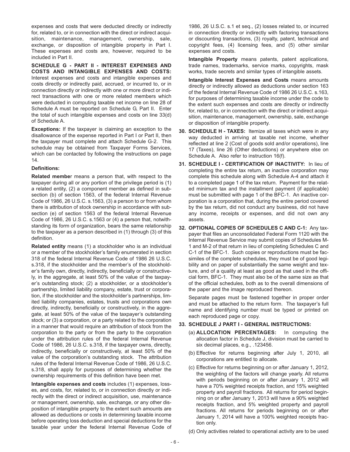expenses and costs that were deducted directly or indirectly for, related to, or in connection with the direct or indirect acquisition, maintenance, management, ownership, sale, exchange, or disposition of intangible property in Part I. These expenses and costs are, however, required to be included in Part II.

**SCHEDULE G - PART II - INTEREST EXPENSES AND COSTS AND INTANGIBLE EXPENSES AND COSTS:** Interest expenses and costs and intangible expenses and costs directly or indirectly paid, accrued, or incurred to, or in connection directly or indirectly with one or more direct or indirect transactions with one or more related members which were deducted in computing taxable net income on line 28 of Schedule A must be reported on Schedule G, Part II. Enter the total of such intangible expenses and costs on line 33(d) of Schedule A.

**Exceptions:** If the taxpayer is claiming an exception to the disallowance of the expense reported in Part I or Part II, then the taxpayer must complete and attach Schedule G-2. This schedule may be obtained from Taxpayer Forms Services, which can be contacted by following the instructions on page 14.

#### **Definitions:**

**Related membe**r means a person that, with respect to the taxpayer during all or any portion of the privilege period is (1) a related entity, (2) a component member as defined in subsection (b) of section 1563, of the federal Internal Revenue Code of 1986, 26 U.S.C. s.1563, (3) a person to or from whom there is attribution of stock ownership in accordance with subsection (e) of section 1563 of the federal Internal Revenue Code of 1986, 26 U.S.C. s.1563 or (4) a person that, notwithstanding its form of organization, bears the same relationship to the taxpayer as a person described in (1) through (3) of this definition.

**Related entity** means (1) a stockholder who is an individual or a member of the stockholder's family enumerated in section 318 of the federal Internal Revenue Code of 1986 26 U.S.C. s.318, if the stockholder and the member's of the stockholder's family own, directly, indirectly, beneficially or constructively, in the aggregate, at least 50% of the value of the taxpayer's outstanding stock; (2) a stockholder, or a stockholder's partnership, limited liability company, estate, trust or corporation, if the stockholder and the stockholder's partnerships, limited liability companies, estates, trusts and corporations own directly, indirectly, beneficially or constructively, in the aggregate, at least 50% of the value of the taxpayer's outstanding stock; or (3) a corporation, or a party related to the corporation in a manner that would require an attribution of stock from the corporation to the party or from the party to the corporation under the attribution rules of the federal Internal Revenue Code of 1986, 26 U.S.C. s.318, if the taxpayer owns, directly, indirectly, beneficially or constructively, at least 50% of the value of the corporation's outstanding stock. The attribution rules of the federal Internal Revenue Code of 1986, 26 U.S.C. s.318, shall apply for purposes of determining whether the ownership requirements of this definition have been met.

**Intangible expenses and costs** includes (1) expenses, losses, and costs, for, related to, or in connection directly or indirectly with the direct or indirect acquisition, use, maintenance or management, ownership, sale, exchange, or any other disposition of intangible property to the extent such amounts are allowed as deductions or costs in determining taxable income before operating loss deduction and special deductions for the taxable year under the federal Internal Revenue Code of 1986, 26 U.S.C. s.1 et seq., (2) losses related to, or incurred in connection directly or indirectly with factoring transactions or discounting transactions, (3) royalty, patent, technical and copyright fees, (4) licensing fees, and (5) other similar expenses and costs.

**Intangible Property** means patents, patent applications, trade names, trademarks, service marks, copyrights, mask works, trade secrets and similar types of intangible assets.

**Intangible Interest Expenses and Costs** means amounts directly or indirectly allowed as deductions under section 163 of the federal Internal Revenue Code of 1986 26 U.S.C. s.163, for purposes of determining taxable income under the code to the extent such expenses and costs are directly or indirectly for, related to, or in connection with the direct or indirect acquisition, maintenance, management, ownership, sale, exchange or disposition of intangible property.

- **30. SCHEDULE H TAXES:** Itemize all taxes which were in any way deducted in arriving at taxable net income, whether reflected at line 2 (Cost of goods sold and/or operations), line 17 (Taxes), line 26 (Other deductions) or anywhere else on Schedule A. Also refer to instruction 16(f).
- **31. SCHEDULE I CERTIFICATION OF INACTIVITY:** In lieu of completing the entire tax return, an inactive corporation may complete this schedule along with Schedule A-4 and attach it to a completed page 1 of the tax return. Payment for the related minimum tax and the installment payment (if applicable) must be submitted with page 1 of the BFC-1. An inactive corporation is a corporation that, during the entire period covered by the tax return, did not conduct any business, did not have any income, receipts or expenses, and did not own any assets.
- **32. OPTIONAL COPIES OF SCHEDULES C AND C-1:** Any taxpayer that files an unconsolidated Federal Form 1120 with the Internal Revenue Service may submit copies of Schedules M-1 and M-2 of that return in lieu of completing Schedules C and C-1 of the BFC-1. Such copies or reproductions must be facsimiles of the complete schedules, they must be of good legibility and on paper of substantially the same weight and texture, and of a quality at least as good as that used in the official form, BFC-1. They must also be of the same size as that of the official schedules, both as to the overall dimensions of the paper and the image reproduced thereon.

Separate pages must be fastened together in proper order and must be attached to the return form. The taxpayer's full name and identifying number must be typed or printed on each reproduced page or copy.

#### **33. SCHEDULE J PART I - GENERAL INSTRUCTIONS:**

- (a) **ALLOCATION PERCENTAGES:** In computing the allocation factor in Schedule J, division must be carried to six decimal places, e.g., .123456.
- (b) Effective for returns beginning after July 1, 2010, all corporations are entitled to allocate.
- (c) Effective for returns beginning on or after January 1, 2012, the weighting of the factors will change yearly. All returns with periods beginning on or after January 1, 2012 will have a 70% weighted receipts fraction, and 15% weighted property and payroll fractions. All returns for period beginning on or after January 1, 2013 will have a 90% weighted receipts fraction, and 5% weighted property and payroll fractions. All returns for periods beginning on or after January 1, 2014 will have a 100% weighted receipts fraction only.
- (d) Only activities related to operational activity are to be used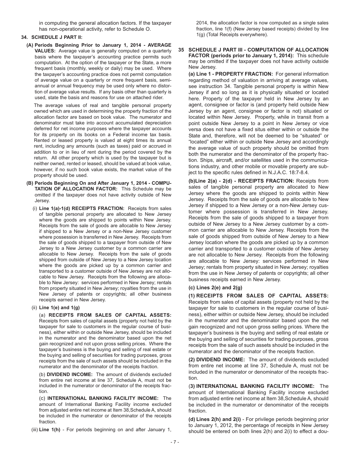in computing the general allocation factors. If the taxpayer has non-operational activity, refer to Schedule O.

#### **34. SCHEDULE J PART II:**

**(A) Periods Beginning Prior to January 1, 2014 - AVERAGE VALUES:** Average value is generally computed on a quarterly basis where the taxpayer's accounting practice permits such computation. At the option of the taxpayer or the State, a more frequent basis (monthly, weekly or daily) may be used. Where the taxpayer's accounting practice does not permit computation of average value on a quarterly or more frequent basis, semiannual or annual frequency may be used only where no distortion of average value results. If any basis other than quarterly is used, state the basis and reasons for use on attached rider.

The average values of real and tangible personal property owned which are used in determining the property fraction of the allocation factor are based on book value. The numerator and denominator must take into account accumulated depreciation deferred for net income purposes where the taxpayer accounts for its property on its books on a Federal income tax basis. Rented or leased property is valued at eight times its annual rent, including any amounts (such as taxes) paid or accrued in addition to or in lieu of rent during the period covered by the return. All other property which is used by the taxpayer but is neither owned, rented or leased, should be valued at book value, however, if no such book value exists, the market value of the property should be used.

- **(B) Periods Beginning On and After January 1, 2014 COMPU-TATION OF ALLOCATION FACTOR:** This Schedule may be omitted if the taxpayer does not have activity outside of New Jersey.
	- (i) **Line 1(a)-1(d) RECEIPTS FRACTION:** Receipts from sales of tangible personal property are allocated to New Jersey where the goods are shipped to points within New Jersey. Receipts from the sale of goods are allocable to New Jersey if shipped to a New Jersey or a non-New Jersey customer where possession is transferred in New Jersey. Receipts from the sale of goods shipped to a taxpayer from outside of New Jersey to a New Jersey customer by a common carrier are allocable to New Jersey. Receipts from the sale of goods shipped from outside of New Jersey to a New Jersey location where the goods are picked up by a common carrier and transported to a customer outside of New Jersey are not allocable to New Jersey. Receipts from the following are allocable to New Jersey: services performed in New Jersey; rentals from property situated in New Jersey; royalties from the use in New Jersey of patents or copyrights; all other business receipts earned in New Jersey.

#### (ii) **Line 1(e) and 1(g)**

(a) **RECEIPTS FROM SALES OF CAPITAL ASSETS:** Receipts from sales of capital assets (property not held by the taxpayer for sale to customers in the regular course of business), either within or outside New Jersey, should be included in the numerator and the denominator based upon the net gain recognized and not upon gross selling prices. Where the taxpayer's business is the buying and selling of real estate or the buying and selling of securities for trading purposes, gross receipts from the sale of such assets should be included in the numerator and the denominator of the receipts fraction.

(b) **DIVIDEND INCOME:** The amount of dividends excluded from entire net income at line 37, Schedule A, must not be included in the numerator or denominator of the receipts fraction.

(c) **INTERNATIONAL BANKING FACILITY INCOME:** The amount of International Banking Facility income excluded from adjusted entire net income at Item 38,Schedule A, should be included in the numerator or denominator of the receipts fraction.

(iii) **Line 1(h)** - For periods beginning on and after January 1,

2014, the allocation factor is now computed as a single sales fraction, line 1(f) (New Jersey based receipts) divided by line 1(g) (Total Receipts everywhere).

#### **35 SCHEDULE J PART III - COMPUTATION OF ALLOCATION FACTOR (periods prior to January 1, 2014):** This schedule may be omitted if the taxpayer does not have activity outside New Jersey.

**(a) Line 1 - PROPERTY FRACTION:** For general information regarding method of valuation in arriving at average values, see instruction 34. Tangible personal property is within New Jersey if and so long as it is physically situated or located here. Property of the taxpayer held in New Jersey by an agent, consignee or factor is (and property held outside New Jersey by an agent, consignee or factor is not) situated or located within New Jersey. Property, while in transit from a point outside New Jersey to a point in New Jersey or vice versa does not have a fixed situs either within or outside the State and, therefore, will not be deemed to be "situated" or "located" either within or outside New Jersey and accordingly the average value of such property should be omitted from both the numerator and the denominator of the property fraction. Ships, aircraft, and/or satellites used in the communications industry, and other mobile or movable property are subject to the specific rules defined in N.J.A.C. 18:7-8.4.

**(b)Line 2(a) - 2(d) - RECEIPTS FRACTION:** Receipts from sales of tangible personal property are allocated to New Jersey where the goods are shipped to points within New Jersey. Receipts from the sale of goods are allocable to New Jersey if shipped to a New Jersey or a non-New Jersey customer where possession is transferred in New Jersey. Receipts from the sale of goods shipped to a taxpayer from outside of New Jersey to a New Jersey customer by a common carrier are allocable to New Jersey. Receipts from the sale of goods shipped from outside of New Jersey to a New Jersey location where the goods are picked up by a common carrier and transported to a customer outside of New Jersey are not allocable to New Jersey. Receipts from the following are allocable to New Jersey: services performed in New Jersey; rentals from property situated in New Jersey; royalties from the use in New Jersey of patents or copyrights; all other business receipts earned in New Jersey.

#### **(c) Lines 2(e) and 2(g)**

**(1) RECEIPTS FROM SALES OF CAPITAL ASSETS:** Receipts from sales of capital assets (property not held by the taxpayer for sale to customers in the regular course of business), either within or outside New Jersey, should be included in the numerator and the denominator based upon the net gain recognized and not upon gross selling prices. Where the taxpayer's business is the buying and selling of real estate or the buying and selling of securities for trading purposes, gross receipts from the sale of such assets should be included in the numerator and the denominator of the receipts fraction.

**(2) DIVIDEND INCOME:** The amount of dividends excluded from entire net income at line 37, Schedule A, must not be included in the numerator or denominator of the receipts fraction.

(**3) INTERNATIONAL BANKING FACILITY INCOME:** The amount of International Banking Facility income excluded from adjusted entire net income at Item 38,Schedule A, should be included in the numerator or denominator of the receipts fraction.

**(d) Lines 2(h) and 2(i)** - For privilege periods beginning prior to January 1, 2012, the percentage of receipts in New Jersey should be entered on both lines 2(h) and 2(i) to effect a dou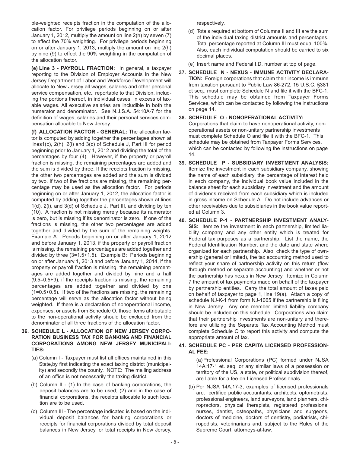ble-weighted receipts fraction in the computation of the allocation factor. For privilege periods beginning on or after January 1, 2012, multiply the amount on line 2(h) by seven (7) to effect the 70% weighting. For privilege periods beginning on or after January 1, 2013, multiply the amount on line 2(h) by nine (9) to effect the 90% weighting in the computation of the allocation factor.

**(e) Line 3 - PAYROLL FRACTION:** In general, a taxpayer reporting to the Division of Employer Accounts in the New Jersey Department of Labor and Workforce Development will allocate to New Jersey all wages, salaries and other personal service compensation, etc., reportable to that Division, including the portions thereof, in individual cases, in excess of taxable wages. All executive salaries are includible in both the numerator and denominator. See N.J.S.A. 54:10A-7 for the definition of wages, salaries and their personal services compensation allocable to New Jersey.

**(f) ALLOCATION FACTOR - GENERAL:** The allocation factor is computed by adding together the percentages shown at lines1(c), 2(h), 2(i) and 3(c) of Schedule J, Part III for period beginning prior to January 1, 2012 and dividing the total of the percentages by four (4). However, if the property or payroll fraction is missing, the remaining percentages are added and the sum is divided by three. If the receipts fraction is missing, the other two percentages are added and the sum is divided by two. If two of the fractions are missing, the remaining percentage may be used as the allocation factor. For periods beginning on or after January 1, 2012, the allocation factor is computed by adding together the percentages shown at lines 1(d), 2(i), and 3(d) of Schedule J, Part III, and dividing by ten (10). A fraction is not missing merely because its numerator is zero, but is missing if its denominator is zero. If one of the fractions is missing, the other two percentages are added together and divided by the sum of the remaining weights. Example A: Periods beginning on or after January 1, 2012 and before January 1, 2013, if the property or payroll fraction is missing, the remaining percentages are added together and divided by three (3=1.5+1.5). Example B: Periods beginning on or after January 1, 2013 and before January 1, 2014, if the property or payroll fraction is missing, the remaining percentages are added together and divided by nine and a half (9.5=0.5+9); if the receipts fraction is missing, the remaining percentages are added together and divided by one (1=0.5+0.5). If two of the fractions are missing, the remaining percentage will serve as the allocation factor without being weighted. If there is a declaration of nonoperational income, expenses, or assets from Schedule O, those items attributable to the non-operational activity should be excluded from the denominator of all three fractions of the allocation factor.

#### **36. SCHEDULE L - ALLOCATION OF NEW JERSEY CORPO-RATION BUSINESS TAX FOR BANKING AND FINANCIAL CORPORATIONS AMONG NEW JERSEY MUNICIPALI-TIES:**

- (a) Column I Taxpayer must list all offices maintained in this State,by first indicating the exact taxing district (municipality) and secondly the county. NOTE: The mailing address of an office is not necessarily the taxing district.
- (b) Column II (1) In the case of banking corporations, the deposit balances are to be used; (2) and in the case of financial corporations, the receipts allocable to such location are to be used.
- (c) Column III The percentage indicated is based on the individual deposit balances for banking corporations or receipts for financial corporations divided by total deposit balances in New Jersey, or total receipts in New Jersey,

respectively.

- (d) Totals required at bottom of Columns II and III are the sum of the individual taxing district amounts and percentages. Total percentage reported at Column III must equal 100%. Also, each individual computation should be carried to six decimal places.
- (e) Insert name and Federal I.D. number at top of page.
- **37. SCHEDULE N NEXUS IMMUNE ACTIVITY DECLARA-TION:** Foreign corporations that claim their income is immune from taxation pursuant to Public Law 86-272, 15 U.S.C. §381 et seq., must complete Schedule N and file it with the BFC-1. This schedule may be obtained from Taxpayer Forms Services, which can be contacted by following the instructions on page 14.

#### **38. SCHEDULE O - NONOPERATIONAL ACTIVITY:**

Corporations that claim to have nonoperational activity, nonoperational assets or non-unitary partnership investments must complete Schedule O and file it with the BFC-1. This schedule may be obtained from Taxpayer Forms Services, which can be contacted by following the instructions on page 14.

- **39. SCHEDULE P SUBSIDIARY INVESTMENT ANALYSIS:** Itemize the investment in each subsidiary company, showing the name of each subsidiary, the percentage of interest held in each company, the individual book value included in the balance sheet for each subsidiary investment and the amount of dividends received from each subsidiary which is included in gross income on Schedule A. Do not include advances or other receivables due to subsidiaries in the book value reported at Column 3.
- **40. SCHEDULE P-1 PARTNERSHIP INVESTMENT ANALY-SIS:** Itemize the investment in each partnership, limited liability company and any other entity which is treated for Federal tax purposes as a partnership. List the name, the Federal Identification Number, and the date and state where organized for each partnership. Also, check the type of ownership (general or limited), the tax accounting method used to reflect your share of partnership activity on this return (flow through method or separate accounting) and whether or not the partnership has nexus in New Jersey. Itemize in Column 7 the amount of tax payments made on behalf of the taxpayer by partnership entities. Carry the total amount of taxes paid on behalf of taxpayer to page 1, line 19(a). Attach a copy of schedule NJ-K-1 from form NJ-1065 if the partnership is filing in New Jersey. Any one member limited liability company should be included on this schedule. Corporations who claim that their partnership investments are non-unitary and therefore are utilizing the Separate Tax Accounting Method must complete Schedule O to report this activity and compute the appropriate amount of tax.

#### **41. SCHEDULE PC - PER CAPITA LICENSED PROFESSION-AL FEE:**

(a) Professional Corporations (PC) formed under NJSA 14A:17-1 et. seq. or any similar laws of a possession or territory of the US, a state, or political subdivision thereof, are liable for a fee on Licensed Professionals.

(b) Per NJSA 14A:17-3, examples of licensed professionals are: certified public accountants, architects, optometrists, professional engineers, land surveyors, land planners, chiropractors, physical therapists, registered professional nurses, dentist, osteopaths, physicians and surgeons, doctors of medicine, doctors of dentistry, podiatrists, chiropodists, veterinarians and, subject to the Rules of the Supreme Court, attorneys-at-law.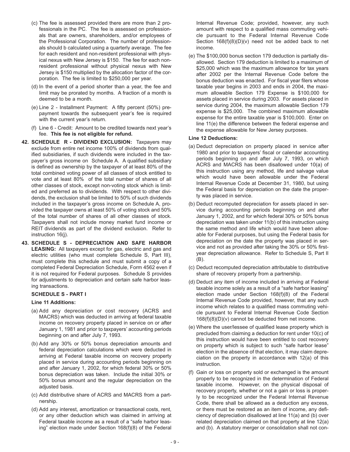- (c) The fee is assessed provided there are more than 2 professionals in the PC. The fee is assessed on professionals that are owners, shareholders, and/or employees of the Professional Corporation. The number of professionals should b calculated using a quarterly average. The fee for each resident and non-resident professional with physical nexus with New Jersey is \$150. The fee for each nonresident professional without physical nexus with New Jersey is \$150 multiplied by the allocation factor of the corporation. The fee is limited to \$250,000 per year.
- (d) In the event of a period shorter than a year, the fee and limit may be prorated by months. A fraction of a month is deemed to be a month.
- (e) Line 2 Installment Payment: A fifty percent (50%) prepayment towards the subsequent year's fee is required with the current year's return.
- (f) Line 6 Credit: Amount to be credited towards next year's fee. **This fee is not eligible for refund.**
- **42. SCHEDULE R DIVIDEND EXCLUSION:** Taxpayers may exclude from entire net income 100% of dividends from qualified subsidiaries, if such dividends were included in the taxpayer's gross income on Schedule A. A qualified subsidiary is defined as ownership by the taxpayer of at least 80% of the total combined voting power of all classes of stock entitled to vote and at least 80% of the total number of shares of all other classes of stock, except non-voting stock which is limited and preferred as to dividends. With respect to other dividends, the exclusion shall be limited to 50% of such dividends included in the taxpayer's gross income on Schedule A, provided the taxpayer owns at least 50% of voting stock and 50% of the total number of shares of all other classes of stock. Taxpayers shall not include money market fund income or REIT dividends as part of the dividend exclusion. Refer to instruction 16(j).
- **43. SCHEDULE S DEPRECIATION AND SAFE HARBOR LEASING:** All taxpayers except for gas, electric and gas and electric utilities (who must complete Schedule S, Part III), must complete this schedule and must submit a copy of a completed Federal Depreciation Schedule, Form 4562 even if it is not required for Federal purposes. Schedule S provides for adjustments to depreciation and certain safe harbor leasing transactions.

#### **SCHEDULE S - PART I**

#### **Line 11 Additions:**

- (a) Add any depreciation or cost recovery (ACRS and MACRS) which was deducted in arriving at federal taxable income on recovery property placed in service on or after January 1, 1981 and prior to taxpayers' accounting periods beginning on and after July 7, 1993.
- (b) Add any 30% or 50% bonus depreciation amounts and federal depreciation calculations which were deducted in arriving at Federal taxable income on recovery property placed in service during accounting periods beginning on and after January 1, 2002, for which federal 30% or 50% bonus depreciation was taken. Include the initial 30% or 50% bonus amount and the regular depreciation on the adjusted basis.
- (c) Add distributive share of ACRS and MACRS from a partnership.
- (d) Add any interest, amortization or transactional costs, rent, or any other deduction which was claimed in arriving at Federal taxable income as a result of a "safe harbor leasing" election made under Section 168(f)(8) of the Federal

Internal Revenue Code; provided, however, any such amount with respect to a qualified mass commuting vehicle pursuant to the Federal Internal Revenue Code Section 168(f)(8)(D)(v) need not be added back to net income.

(e) The \$100,000 bonus section 179 deduction is partially disallowed. Section 179 deduction is limited to a maximum of \$25,000 which was the maximum allowance for tax years after 2002 per the Internal Revenue Code before the bonus deduction was enacted. For fiscal year filers whose taxable year begins in 2003 and ends in 2004, the maximum allowable Section 179 Expense is \$100,000 for assets placed in service during 2003. For assets placed in service during 2004, the maximum allowable Section 179 expense is \$25,000. The combined maximum allowable expense for the entire taxable year is \$100,000. Enter on line 11(e) the difference between the federal expense and the expense allowable for New Jersey purposes.

#### **Line 12 Deductions:**

- (a) Deduct depreciation on property placed in service after 1980 and prior to taxpayers' fiscal or calendar accounting periods beginning on and after July 7, 1993, on which ACRS and MACRS has been disallowed under 10(a) of this instruction using any method, life and salvage value which would have been allowable under the Federal Internal Revenue Code at December 31, 1980, but using the Federal basis for depreciation on the date the property was placed in service.
- (b) Deduct recomputed depreciation for assets placed in service during accounting periods beginning on and after January 1, 2002, and for which federal 30% or 50% bonus depreciation was taken under 11(b) of this instruction using the same method and life which would have been allowable for Federal purposes, but using the Federal basis for depreciation on the date the property was placed in service and not as provided after taking the 30% or 50% firstyear depreciation allowance. Refer to Schedule S, Part II (B).
- (c) Deduct recomputed depreciation attributable to distributive share of recovery property from a partnership.
- (d) Deduct any item of income included in arriving at Federal taxable income solely as a result of a "safe harbor leasing" election made under Section 168(f)(8) of the Federal Internal Revenue Code provided, however, that any such income which relates to a qualified mass commuting vehicle pursuant to Federal Internal Revenue Code Section 168(f)(8)(D)(v) cannot be deducted from net income.
- (e) Where the user/lessee of qualified lease property which is precluded from claiming a deduction for rent under 10(c) of this instruction would have been entitled to cost recovery on property which is subject to such "safe harbor lease" election in the absence of that election, it may claim depreciation on the property in accordance with 12(a) of this instruction.
- (f) Gain or loss on property sold or exchanged is the amount properly to be recognized in the determination of Federal taxable income. However, on the physical disposal of recovery property, whether or not a gain or loss is properly to be recognized under the Federal Internal Revenue Code, there shall be allowed as a deduction any excess, or there must be restored as an item of income, any deficiency of depreciation disallowed at line 11(a) and (b) over related depreciation claimed on that property at line 12(a) and (b). A statutory merger or consolidation shall not con-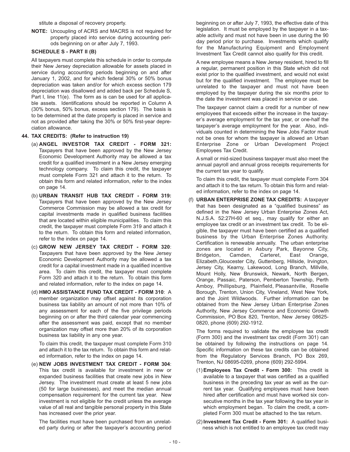stitute a disposal of recovery property.

**NOTE:** Uncoupling of ACRS and MACRS is not required for property placed into service during accounting periods beginning on or after July 7, 1993.

#### **SCHEDULE S - PART II (B)**

All taxpayers must complete this schedule in order to compute their New Jersey depreciation allowable for assets placed in service during accounting periods beginning on and after January 1, 2002, and for which federal 30% or 50% bonus depreciation was taken and/or for which excess section 179 depreciation was disallowed and added back per Schedule S, Part I, line 11(e). The form as is can be used for all applicable assets. Identifications should be reported in Column A (30% bonus, 50% bonus, excess section 179). The basis is to be determined at the date property is placed in service and not as provided after taking the 30% or 50% first-year depreciation allowance.

#### **44. TAX CREDITS: (Refer to instruction 19)**

- (a) **ANGEL INVESTOR TAX CREDIT FORM 321:** Taxpayers that have been approved by the New Jersey Economic Development Authority may be allowed a tax credit for a qualified investment in a New Jersey emerging technology company. To claim this credit, the taxpayer must complete Form 321 and attach it to the return. To obtain this form and related information, refer to the index on page 14.
- (b) **URBAN TRANSIT HUB TAX CREDIT FORM 319:** Taxpayers that have been approved by the New Jersey Commerce Commission may be allowed a tax credit for capital investments made in qualified business facilities that are located within eligible municipalities. To claim this credit, the taxpayer must complete Form 319 and attach it to the return. To obtain this form and related information, refer to the index on page 14.
- (c) **GROW NEW JERSEY TAX CREDIT FORM 320**: Taxpayers that have been approved by the New Jersey Economic Development Authority may be allowed a tax credit for a capital investment made in a qualified incentive area. To claim this credit, the taxpayer must complete Form 320 and attach it to the return. To obtain this form and related information, refer to the index on page 14.
- (d) **HMO ASSISTANCE FUND TAX CREDIT FORM 310**: A member organization may offset against its corporation business tax liability an amount of not more than 10% of any assessment for each of the five privilege periods beginning on or after the third calendar year commencing after the assessment was paid, except that no member organization may offset more than 20% of its corporation business tax liability in any one year.

To claim this credit, the taxpayer must complete Form 310 and attach it to the tax return. To obtain this form and related information, refer to the index on page 14.

(e) **NEW JOBS INVESTMENT TAX CREDIT - FORM 304**: This tax credit is available for investment in new or expanded business facilities that create new jobs in New Jersey. The investment must create at least 5 new jobs (50 for large businesses), and meet the median annual compensation requirement for the current tax year. New investment is not eligible for the credit unless the average value of all real and tangible personal property in this State has increased over the prior year.

The facilities must have been purchased from an unrelated party during or after the taxpayer's accounting period

beginning on or after July 7, 1993, the effective date of this legislation. It must be employed by the taxpayer in a taxable activity and must not have been in use during the 90 day period prior to purchase. Investments which qualify for the Manufacturing Equipment and Employment Investment Tax Credit cannot also qualify for this credit.

A new employee means a New Jersey resident, hired to fill a regular, permanent position in this State which did not exist prior to the qualified investment, and would not exist but for the qualified investment. The employee must be unrelated to the taxpayer and must not have been employed by the taxpayer during the six months prior to the date the investment was placed in service or use.

The taxpayer cannot claim a credit for a number of new employees that exceeds either the increase in the taxpayer's average employment for the tax year, or one-half the taxpayer's average employment for the year. Also, individuals counted in determining the New Jobs Factor must not be ones for whom the taxpayer is allowed an Urban Enterprise Zone or Urban Development Project Employees Tax Credit.

A small or mid-sized business taxpayer must also meet the annual payroll and annual gross receipts requirements for the current tax year to qualify.

To claim this credit, the taxpayer must complete Form 304 and attach it to the tax return. To obtain this form and related information, refer to the index on page 14.

(f) **URBAN ENTERPRISE ZONE TAX CREDITS:** A taxpayer that has been designated as a "qualified business" as defined in the New Jersey Urban Enterprise Zones Act, N.J.S.A. 52:27H-60 et seq., may qualify for either an employee tax credit or an investment tax credit. To be eligible, the taxpayer must have been certified as a qualified business by the Urban Enterprise Zones Authority. Certification is renewable annually. The urban enterprise zones are located in Asbury Park, Bayonne City,<br>Bridaeton, Camden, Carteret, East Orange, Bridgeton, Camden, Carteret, East Orange, Elizabeth,Gloucester City, Guttenberg, Hillside, Irvington, Jersey City, Kearny, Lakewood, Long Branch, Millville, Mount Holly, New Brunswick, Newark, North Bergen, Orange, Passaic, Paterson, Pemberton Township, Perth Amboy, Phillipsburg, Plainfield, Pleasantville, Roselle Borough, Trenton, Union City, Vineland, West New York, and the Joint Wildwoods. Further information can be obtained from the New Jersey Urban Enterprise Zones Authority, New Jersey Commerce and Economic Growth Commission, PO Box 820, Trenton, New Jersey 08625- 0820, phone (609) 292-1912.

The forms required to validate the employee tax credit (Form 300) and the investment tax credit (Form 301) can be obtained by following the instructions on page 14. Specific information on these tax credits can be obtained from the Regulatory Services Branch, PO Box 269, Trenton, NJ 08695-0269, phone (609) 292-5994.

- (1) **Employees Tax Credit Form 300:** This credit is available to a taxpayer that was certified as a qualified business in the preceding tax year as well as the current tax year. Qualifying employees must have been hired after certification and must have worked six consecutive months in the tax year following the tax year in which employment began. To claim the credit, a completed Form 300 must be attached to the tax return.
- (2) **Investment Tax Credit Form 301:** A qualified business which is not entitled to an employee tax credit may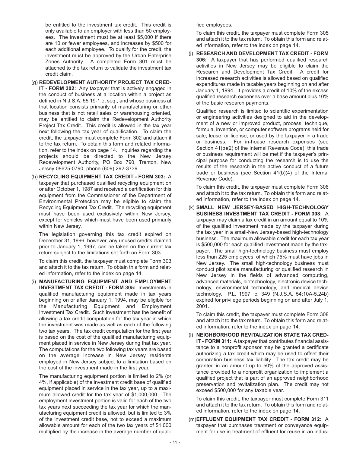be entitled to the investment tax credit. This credit is only available to an employer with less than 50 employees. The investment must be at least \$5,000 if there are 10 or fewer employees, and increases by \$500 for each additional employee. To qualify for the credit, the investment must be approved by the Urban Enterprise Zones Authority. A completed Form 301 must be attached to the tax return to validate the investment tax credit claim.

(g) **REDEVELOPMENT AUTHORITY PROJECT TAX CRED-IT - FORM 302:** Any taxpayer that is actively engaged in the conduct of business at a location within a project as defined in N.J.S.A. 55:19-1 et seq., and whose business at that location consists primarily of manufacturing or other business that is not retail sales or warehousing oriented, may be entitled to claim the Redevelopment Authority Project Tax Credit. This credit is allowed in the tax year next following the tax year of qualification. To claim the credit, the taxpayer must complete Form 302 and attach it to the tax return. To obtain this form and related information, refer to the index on page 14. Inquiries regarding the projects should be directed to the New Jersey Redevelopment Authority, PO Box 790, Trenton, New Jersey 08625-0790, phone (609) 292-3739.

(h) **RECYCLING EQUIPMENT TAX CREDIT - FORM 303:** A taxpayer that purchased qualified recycling equipment on or after October 1, 1987 and received a certification for this equipment from the Commissioner of the Department of Environmental Protection may be eligible to claim the Recycling Equipment Tax Credit. The recycling equipment must have been used exclusively within New Jersey, except for vehicles which must have been used primarily within New Jersey.

The legislation governing this tax credit expired on December 31, 1996, however, any unused credits claimed prior to January 1, 1997, can be taken on the current tax return subject to the limitations set forth on Form 303.

To claim this credit, the taxpayer must complete Form 303 and attach it to the tax return. To obtain this form and related information, refer to the index on page 14.

(i) **MANUFACTURING EQUIPMENT AND EMPLOYMENT INVESTMENT TAX CREDIT - FORM 305:** Investments in qualified manufacturing equipment made in tax years beginning on or after January 1, 1994, may be eligible for the Manufacturing Equipment and Employment Investment Tax Credit. Such investment has the benefit of allowing a tax credit computation for the tax year in which the investment was made as well as each of the following two tax years. The tax credit computation for the first year is based on the cost of the qualified manufacturing equipment placed in service in New Jersey during that tax year. The computations for the two following tax years are based on the average increase in New Jersey residents employed in New Jersey subject to a limitation based on the cost of the investment made in the first year.

The manufacturing equipment portion is limited to 2% (or 4%, if applicable) of the investment credit base of qualified equipment placed in service in the tax year, up to a maximum allowed credit for the tax year of \$1,000,000. The employment investment portion is valid for each of the two tax years next succeeding the tax year for which the manufacturing equipment credit is allowed, but is limited to 3% of the investment credit base, not to exceed a maximum allowable amount for each of the two tax years of \$1,000 multiplied by the increase in the average number of qualified employees.

To claim this credit, the taxpayer must complete Form 305 and attach it to the tax return. To obtain this form and related information, refer to the index on page 14.

(j) **RESEARCH AND DEVELOPMENT TAX CREDIT - FORM 306:** A taxpayer that has performed qualified research activities in New Jersey may be eligible to claim the Research and Development Tax Credit. A credit for increased research activities is allowed based on qualified expenditures made in taxable years beginning on and after January 1, 1994. It provides a credit of 10% of the excess qualified research expenses over a base amount plus 10% of the basic research payments.

Qualified research is limited to scientific experimentation or engineering activities designed to aid in the development of a new or improved product, process, technique, formula, invention, or computer software programs held for sale, lease, or license, or used by the taxpayer in a trade or business. For in-house research expenses (see Section 41(b)(2) of the Internal Revenue Code), this trade or business requirement will be met if the taxpayer's principal purpose for conducting the research is to use the results of the research in the active conduct of a future trade or business (see Section 41(b)(4) of the Internal Revenue Code).

To claim this credit, the taxpayer must complete Form 306 and attach it to the tax return. To obtain this form and related information, refer to the index on page 14.

(k) **SMALL NEW JERSEY-BASED HIGH-TECHNOLOGY BUSINESS INVESTMENT TAX CREDIT - FORM 308:** A taxpayer may claim a tax credit in an amount equal to 10% of the qualified investment made by the taxpayer during the tax year in a small-New Jersey-based high-technology business. The maximum allowable credit for each tax year is \$500,000 for each qualified investment made by the taxpayer. The small high-technology business must employ less than 225 employees, of which 75% must have jobs in New Jersey. The small high-technology business must conduct pilot scale manufacturing or qualified research in New Jersey in the fields of advanced computing, advanced materials, biotechnology, electronic device technology, environmental technology, and medical device technology. P.L. 1997, c. 349 (N.J.S.A. 54:10A-5.24b) expired for privilege periods beginning on and after July 1, 2001.

To claim this credit, the taxpayer must complete Form 308 and attach it to the tax return. To obtain this form and related information, refer to the index on page 14.

(l) **NEIGHBORHOOD REVITALIZATION STATE TAX CRED-IT - FORM 311:** A taxpayer that contributes financial assistance to a nonprofit sponsor may be granted a certificate authorizing a tax credit which may be used to offset their corporation business tax liability. The tax credit may be granted in an amount up to 50% of the approved assistance provided to a nonprofit organization to implement a qualified project that is part of an approved neighborhood preservation and revitalization plan. The credit may not exceed \$500,000 for any taxable year.

To claim this credit, the taxpayer must complete Form 311 and attach it to the tax return. To obtain this form and related information, refer to the index on page 14.

(m)**EFFLUENT EQUIPMENT TAX CREDIT - FORM 312:** A taxpayer that purchases treatment or conveyance equipment for use in treatment of effluent for reuse in an indus-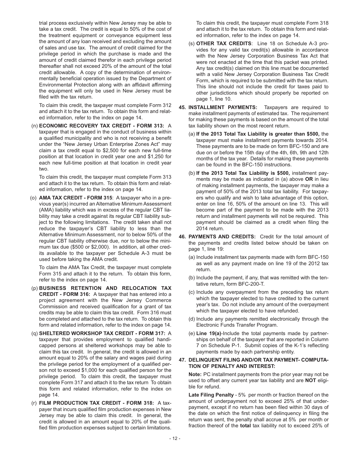trial process exclusively within New Jersey may be able to take a tax credit. The credit is equal to 50% of the cost of the treatment equipment or conveyance equipment less the amount of any loan received and excluding the amount of sales and use tax. The amount of credit claimed for the privilege period in which the purchase is made and the amount of credit claimed therefor in each privilege period thereafter shall not exceed 20% of the amount of the total credit allowable. A copy of the determination of environmentally beneficial operation issued by the Department of Environmental Protection along with an affidavit affirming the equipment will only be used in New Jersey must be filed with the tax return.

To claim this credit, the taxpayer must complete Form 312 and attach it to the tax return. To obtain this form and related information, refer to the index on page 14.

(n) **ECONOMIC RECOVERY TAX CREDIT - FORM 313:** A taxpayer that is engaged in the conduct of business within a qualified municipality and who is not receiving a benefit under the "New Jersey Urban Enterprise Zones Act" may claim a tax credit equal to \$2,500 for each new full-time position at that location in credit year one and \$1,250 for each new full-time position at that location in credit year two.

To claim this credit, the taxpayer must complete Form 313 and attach it to the tax return. To obtain this form and related information, refer to the index on page 14.

(o) **AMA TAX CREDIT - FORM 315**: A taxpayer who in a previous year(s) incurred an Alternative Minimum Assessment (AMA) liability which was in excess of the regular CBT liability may take a credit against its regular CBT liability subject to the following limitations. The credit taken shall not reduce the taxpayer's CBT liability to less than the Alternative Minimum Assessment, nor to below 50% of the regular CBT liability otherwise due, nor to below the minimum tax due (\$500 or \$2,000). In addition, all other credits available to the taxpayer per Schedule A-3 must be used before taking the AMA credit.

To claim the AMA Tax Credit, the taxpayer must complete Form 315 and attach it to the return. To obtain this form, refer to the index on page 14.

- (p) **BUSINESS RETENTION AND RELOCATION TAX CREDIT - FORM 316:** A taxpayer that has entered into a project agreement with the New Jersey Commerce Commission and received qualification for a grant of tax credits may be able to claim this tax credit. Form 316 must be completed and attached to the tax return. To obtain this form and related information, refer to the index on page 14.
- (q) **SHELTERED WORKSHOP TAX CREDIT FORM 317:** A taxpayer that provides employment to qualified handicapped persons at sheltered workshops may be able to claim this tax credit. In general, the credit is allowed in an amount equal to 20% of the salary and wages paid during the privilege period for the employment of a qualified person not to exceed \$1,000 for each qualified person for the privilege period. To claim this credit, the taxpayer must complete Form 317 and attach it to the tax return To obtain this form and related information, refer to the index on page 14.
- (r) **FILM PRODUCTION TAX CREDIT FORM 318:** A taxpayer that incurs qualified film production expenses in New Jersey may be able to claim this credit. In general, the credit is allowed in an amount equal to 20% of the qualified film production expenses subject to certain limitations.

To claim this credit, the taxpayer must complete Form 318 and attach it to the tax return. To obtain this form and related information, refer to the index on page 14.

- (s) **OTHER TAX CREDITS**: Line 18 on Schedule A-3 provides for any valid tax credit(s) allowable in accordance with the New Jersey Corporation Business Tax Act that were not enacted at the time that this packet was printed. Any tax credit(s) claimed on this line must be documented with a valid New Jersey Corporation Business Tax Credit Form, which is required to be submitted with the tax return. This line should not include the credit for taxes paid to other jurisdictions which should properly be reported on page 1, line 10.
- **45. INSTALLMENT PAYMENTS:** Taxpayers are required to make installment payments of estimated tax. The requirement for making these payments is based on the amount of the total tax liability shown on the most recent return.
	- (a) **If the 2013 Total Tax Liability is greater than \$500,** the taxpayer must make installment payments towards 2014. These payments are to be made on form BFC-150 and are due on or before the 15th day of the 4th, 6th, 9th and 12th months of the tax year. Details for making these payments can be found in the BFC-150 instructions.
	- (b) **If the 2013 Total Tax Liability is \$500,** installment payments may be made as indicated in (a) above **OR** in lieu of making installment payments, the taxpayer may make a payment of 50% of the 2013 total tax liability. For taxpayers who qualify and wish to take advantage of this option, enter on line 16, 50% of the amount on line 13. This will become part of the payment to be made with the 2013 return and installment payments will not be required. This payment should be claimed as a credit when filing the 2014 return.
- **46. PAYMENTS AND CREDITS:** Credit for the total amount of the payments and credits listed below should be taken on page 1, line 19:
	- (a) Include installment tax payments made with form BFC-150 as well as any payment made on line 19 of the 2012 tax return.
	- (b) Include the payment, if any, that was remitted with the tentative return, form BFC-200-T.
	- (c) Include any overpayment from the preceding tax return which the taxpayer elected to have credited to the current year's tax. Do not include any amount of the overpayment which the taxpayer elected to have refunded.
	- (d) Include any payments remitted electronically through the Electronic Funds Transfer Program.
	- (e) **Line 19(a)**-Include the total payments made by partnerships on behalf of the taxpayer that are reported in Column 7 on Schedule P-1. Submit copies of the K-1's reflecting payments made by each partnership entity.

#### **47. DELINQUENT FILING AND/OR TAX PAYMENT- COMPUTA-TION OF PENALTY AND INTEREST:**

**Note:** PC installment payments from the prior year may not be used to offset any current year tax liability and are **NOT** eligible for refund.

**Late Filing Penalty** - 5% per month or fraction thereof on the amount of underpayment not to exceed 25% of that underpayment, except if no return has been filed within 30 days of the date on which the first notice of delinquency in filing the return was sent, the penalty shall accrue at 5% per month or fraction thereof of the **total** tax liability not to exceed 25% of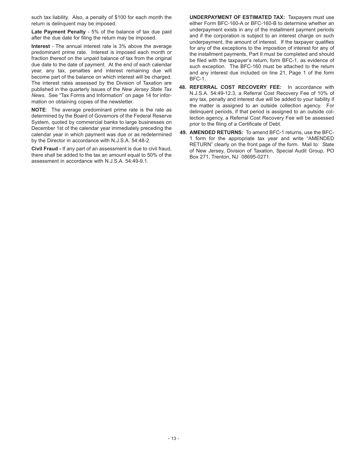such tax liability. Also, a penalty of \$100 for each month the return is delinquent may be imposed.

**Late Payment Penalty** - 5% of the balance of tax due paid after the due date for filing the return may be imposed.

**Interest** - The annual interest rate is 3% above the average predominant prime rate. Interest is imposed each month or fraction thereof on the unpaid balance of tax from the original due date to the date of payment. At the end of each calendar year, any tax, penalties and interest remaining due will become part of the balance on which interest will be charged. The interest rates assessed by the Division of Taxation are published in the quarterly issues of the *New Jersey State Tax News*. See "Tax Forms and Information" on page 14 for information on obtaining copies of the newsletter.

**NOTE**: The average predominant prime rate is the rate as determined by the Board of Governors of the Federal Reserve System, quoted by commercial banks to large businesses on December 1st of the calendar year immediately preceding the calendar year in which payment was due or as redetermined by the Director in accordance with N.J.S.A. 54:48-2.

**Civil Fraud -** If any part of an assessment is due to civil fraud, there shall be added to the tax an amount equal to 50% of the assessment in accordance with N.J.S.A. 54:49-9.1.

**UNDERPAYMENT OF ESTIMATED TAX:** Taxpayers must use either Form BFC-160-A or BFC-160-B to determine whether an underpayment exists in any of the installment payment periods and if the corporation is subject to an interest charge on such underpayment, the amount of interest. If the taxpayer qualifies for any of the exceptions to the imposition of interest for any of the installment payments, Part II must be completed and should be filed with the taxpayer's return, form BFC-1, as evidence of such exception. The BFC-160 must be attached to the return and any interest due included on line 21, Page 1 of the form BFC-1.

- **48. REFERRAL COST RECOVERY FEE:** In accordance with N.J.S.A. 54:49-12.3, a Referral Cost Recovery Fee of 10% of any tax, penalty and interest due will be added to your liability if the matter is assigned to an outside collection agency. For delinquent periods, if that period is assigned to an outside collection agency, a Referral Cost Recovery Fee will be assessed prior to the filing of a Certificate of Debt.
- **49. AMENDED RETURNS:** To amend BFC-1 returns, use the BFC-1 form for the appropriate tax year and write "AMENDED RETURN" clearly on the front page of the form. Mail to: State of New Jersey, Division of Taxation, Special Audit Group, PO Box 271, Trenton, NJ 08695-0271.